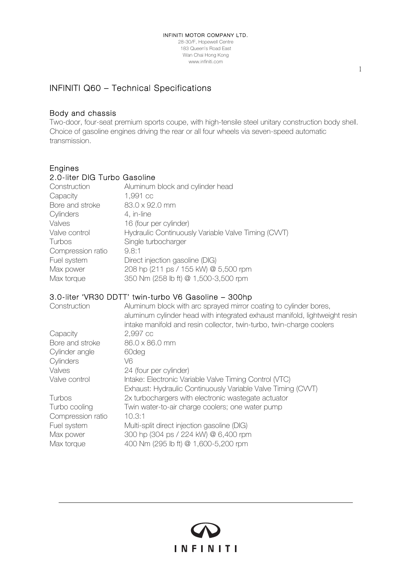28-30/F, Hopewell Centre 183 Queen's Road East Wan Chai Hong Kong www.infiniti.com

## INFINITI Q60 – Technical Specifications

#### Body and chassis

Two-door, four-seat premium sports coupe, with high-tensile steel unitary construction body shell. Choice of gasoline engines driving the rear or all four wheels via seven-speed automatic transmission.

### Engines

#### 2.0-liter DIG Turbo Gasoline

| Construction      | Aluminum block and cylinder head                   |
|-------------------|----------------------------------------------------|
| Capacity          | 1,991 cc                                           |
| Bore and stroke   | 83.0 x 92.0 mm                                     |
| Cylinders         | 4, in-line                                         |
| Valves            | 16 (four per cylinder)                             |
| Valve control     | Hydraulic Continuously Variable Valve Timing (CWT) |
| Turbos            | Single turbocharger                                |
| Compression ratio | 9.8:1                                              |
| Fuel system       | Direct injection gasoline (DIG)                    |
| Max power         | 208 hp (211 ps / 155 kW) @ 5,500 rpm               |
| Max torque        | 350 Nm (258 lb ft) @ 1,500-3,500 rpm               |
|                   |                                                    |

### 3.0-liter 'VR30 DDTT' twin-turbo V6 Gasoline – 300hp

| Construction      | Aluminum block with arc sprayed mirror coating to cylinder bores,<br>aluminum cylinder head with integrated exhaust manifold, lightweight resin<br>intake manifold and resin collector, twin-turbo, twin-charge coolers |
|-------------------|-------------------------------------------------------------------------------------------------------------------------------------------------------------------------------------------------------------------------|
| Capacity          | 2,997 cc                                                                                                                                                                                                                |
| Bore and stroke   | 86.0 x 86.0 mm                                                                                                                                                                                                          |
| Cylinder angle    | 60deg                                                                                                                                                                                                                   |
| Cylinders         | V6.                                                                                                                                                                                                                     |
| Valves            | 24 (four per cylinder)                                                                                                                                                                                                  |
| Valve control     | Intake: Electronic Variable Valve Timing Control (VTC)                                                                                                                                                                  |
|                   | Exhaust: Hydraulic Continuously Variable Valve Timing (CVVT)                                                                                                                                                            |
| Turbos            | 2x turbochargers with electronic wastegate actuator                                                                                                                                                                     |
| Turbo cooling     | Twin water-to-air charge coolers; one water pump                                                                                                                                                                        |
| Compression ratio | 10.3:1                                                                                                                                                                                                                  |
| Fuel system       | Multi-split direct injection gasoline (DIG)                                                                                                                                                                             |
| Max power         | 300 hp (304 ps / 224 kW) @ 6,400 rpm                                                                                                                                                                                    |
| Max torque        | 400 Nm (295 lb ft) @ 1,600-5,200 rpm                                                                                                                                                                                    |

**INFINITI**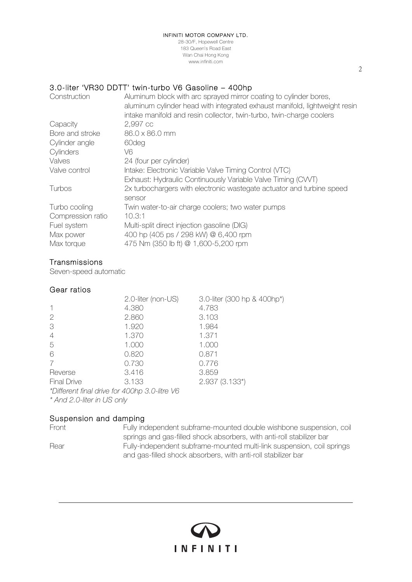#### INFINITI MOTOR COMPANY LTD.

28-30/F, Hopewell Centre 183 Queen's Road East Wan Chai Hong Kong www.infiniti.com

#### 3.0-liter 'VR30 DDTT' twin-turbo V6 Gasoline – 400hp

| Construction      | Aluminum block with arc sprayed mirror coating to cylinder bores,<br>aluminum cylinder head with integrated exhaust manifold, lightweight resin<br>intake manifold and resin collector, twin-turbo, twin-charge coolers |
|-------------------|-------------------------------------------------------------------------------------------------------------------------------------------------------------------------------------------------------------------------|
| Capacity          | 2,997 cc                                                                                                                                                                                                                |
| Bore and stroke   | 86.0 x 86.0 mm                                                                                                                                                                                                          |
| Cylinder angle    | 60deg                                                                                                                                                                                                                   |
| Cylinders         | V6.                                                                                                                                                                                                                     |
| Valves            | 24 (four per cylinder)                                                                                                                                                                                                  |
| Valve control     | Intake: Electronic Variable Valve Timing Control (VTC)                                                                                                                                                                  |
|                   | Exhaust: Hydraulic Continuously Variable Valve Timing (CVVT)                                                                                                                                                            |
| Turbos            | 2x turbochargers with electronic wastegate actuator and turbine speed                                                                                                                                                   |
|                   | sensor                                                                                                                                                                                                                  |
| Turbo cooling     | Twin water-to-air charge coolers; two water pumps                                                                                                                                                                       |
| Compression ratio | 10.3:1                                                                                                                                                                                                                  |
| Fuel system       | Multi-split direct injection gasoline (DIG)                                                                                                                                                                             |
| Max power         | 400 hp (405 ps / 298 kW) @ 6,400 rpm                                                                                                                                                                                    |
| Max torque        | 475 Nm (350 lb ft) @ 1,600-5,200 rpm                                                                                                                                                                                    |

#### **Transmissions**

Seven-speed automatic

#### Gear ratios

|                            | 2.0-liter (non-US)                            | 3.0-liter (300 hp & 400hp*) |
|----------------------------|-----------------------------------------------|-----------------------------|
|                            | 4.380                                         | 4.783                       |
| $\mathcal{P}$              | 2.860                                         | 3.103                       |
| 3                          | 1.920                                         | 1.984                       |
| $\overline{4}$             | 1.370                                         | 1.371                       |
| 5                          | 1.000                                         | 1.000                       |
| 6                          | 0.820                                         | 0.871                       |
|                            | 0.730                                         | 0.776                       |
| Reverse                    | 3.416                                         | 3.859                       |
| <b>Final Drive</b>         | 3.133                                         | 2.937 (3.133*)              |
|                            | *Different final drive for 400hp 3.0-litre V6 |                             |
| * And 2.0-liter in US only |                                               |                             |

### Suspension and damping

Front Fully independent subframe-mounted double wishbone suspension, coil springs and gas-filled shock absorbers, with anti-roll stabilizer bar Rear Fully-independent subframe-mounted multi-link suspension, coil springs and gas-filled shock absorbers, with anti-roll stabilizer bar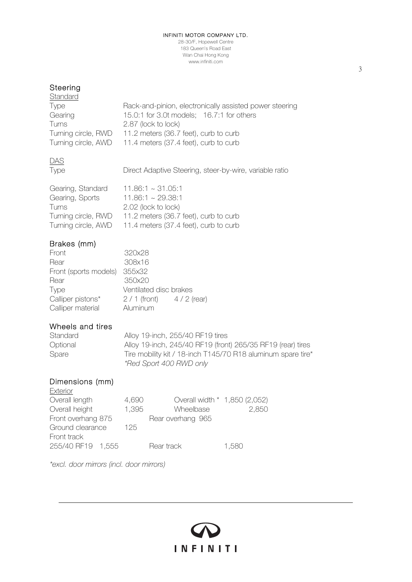#### INFINITI MOTOR COMPANY LTD.

28-30/F, Hopewell Centre 183 Queen's Road East Wan Chai Hong Kong www.infiniti.com

# Steering<br>Changland

| Standard            |                                                           |
|---------------------|-----------------------------------------------------------|
| <b>Type</b>         | Rack-and-pinion, electronically assisted power steering   |
| Gearing             | 15.0:1 for 3.0t models; 16.7:1 for others                 |
| Turns               | 2.87 (lock to lock)                                       |
| Turning circle, RWD | 11.2 meters (36.7 feet), curb to curb                     |
|                     | Turning circle, AWD 11.4 meters (37.4 feet), curb to curb |

# DAS<br>Type

Direct Adaptive Steering, steer-by-wire, variable ratio

| Gearing, Standard   | $11.86:1 \sim 31.05:1$                |
|---------------------|---------------------------------------|
| Gearing, Sports     | $11.86:1 \sim 29.38:1$                |
| <b>Turns</b>        | 2.02 (lock to lock)                   |
| Turning circle, RWD | 11.2 meters (36.7 feet), curb to curb |
| Turning circle, AWD | 11.4 meters (37.4 feet), curb to curb |

#### Brakes (mm)

| Front                 | 320x28                 |              |
|-----------------------|------------------------|--------------|
| Rear                  | 308x16                 |              |
| Front (sports models) | 355x32                 |              |
| Rear                  | 350x20                 |              |
| <b>Type</b>           | Ventilated disc brakes |              |
| Calliper pistons*     | $2/1$ (front)          | $4/2$ (rear) |
| Calliper material     | Aluminum               |              |

#### Wheels and tires

Standard Alloy 19-inch, 255/40 RF19 tires Optional Alloy 19-inch, 245/40 RF19 (front) 265/35 RF19 (rear) tires Spare Tire mobility kit / 18-inch T145/70 R18 aluminum spare tire\* *\*Red Sport 400 RWD only* 

INFINITI

#### Dimensions (mm)

| Exterior           |       |                               |       |
|--------------------|-------|-------------------------------|-------|
| Overall length     | 4,690 | Overall width * 1,850 (2,052) |       |
| Overall height     | 1,395 | Wheelbase                     | 2,850 |
| Front overhang 875 |       | Rear overhang 965             |       |
| Ground clearance   | 125   |                               |       |
| Front track        |       |                               |       |
| 255/40 RF19 1,555  |       | Rear track                    | 1,580 |

*\*excl. door mirrors (incl. door mirrors)*